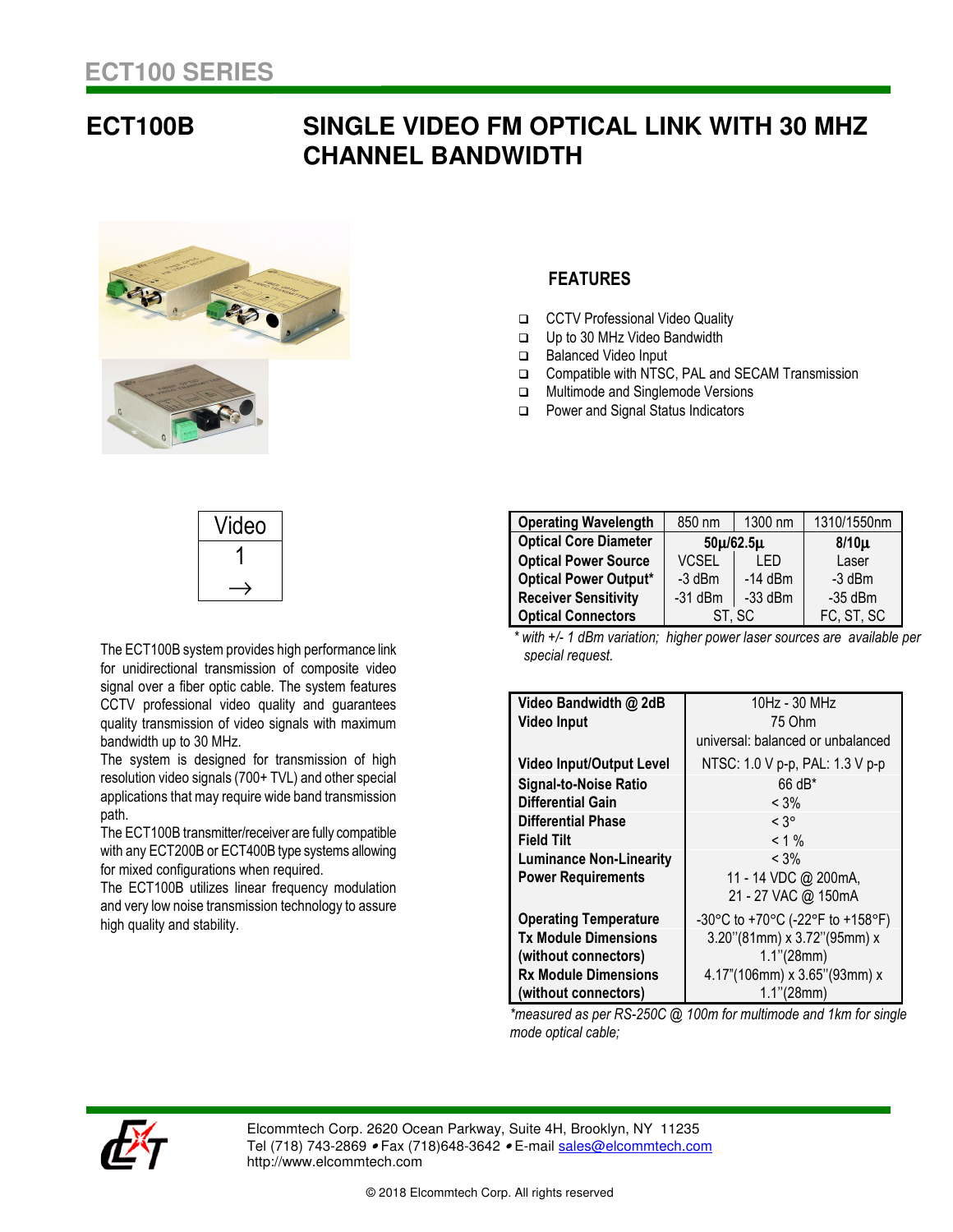## **ECT100B SINGLE VIDEO FM OPTICAL LINK WITH 30 MHZ CHANNEL BANDWIDTH**



## **FEATURES**

- CCTV Professional Video Quality
- Up to 30 MHz Video Bandwidth
- □ Balanced Video Input
- □ Compatible with NTSC, PAL and SECAM Transmission
- **IN** Multimode and Singlemode Versions
- □ Power and Signal Status Indicators

| Video |
|-------|
|       |
|       |

The ECT100B system provides high performance link for unidirectional transmission of composite video signal over a fiber optic cable. The system features CCTV professional video quality and guarantees quality transmission of video signals with maximum bandwidth up to 30 MHz.

The system is designed for transmission of high resolution video signals (700+ TVL) and other special applications that may require wide band transmission path.

The ECT100B transmitter/receiver are fully compatible with any ECT200B or ECT400B type systems allowing for mixed configurations when required.

The ECT100B utilizes linear frequency modulation and very low noise transmission technology to assure high quality and stability.

| <b>Operating Wavelength</b>  | 850 nm          | 1300 nm   | 1310/1550nm |
|------------------------------|-----------------|-----------|-------------|
| <b>Optical Core Diameter</b> | $50\mu/62.5\mu$ |           | $8/10\mu$   |
| <b>Optical Power Source</b>  | <b>VCSEL</b>    | I FD      | Laser       |
| <b>Optical Power Output*</b> | $-3$ dBm        | $-14$ dBm | $-3$ dBm    |
| <b>Receiver Sensitivity</b>  | $-31$ dBm       | $-33$ dBm | $-35$ dBm   |
| <b>Optical Connectors</b>    |                 | ST, SC    | FC, ST, SC  |

 *\* with +/- 1 dBm variation; higher power laser sources are available per special request.*

| Video Bandwidth @ 2dB           | 10Hz - 30 MHz                     |  |  |
|---------------------------------|-----------------------------------|--|--|
| <b>Video Input</b>              | 75 Ohm                            |  |  |
|                                 | universal: balanced or unbalanced |  |  |
| <b>Video Input/Output Level</b> | NTSC: 1.0 V p-p, PAL: 1.3 V p-p   |  |  |
| <b>Signal-to-Noise Ratio</b>    | $66 dB*$                          |  |  |
| Differential Gain               | $<$ 3%                            |  |  |
| Differential Phase              | $< 3^{\circ}$                     |  |  |
| <b>Field Tilt</b>               | $< 1 \%$                          |  |  |
| <b>Luminance Non-Linearity</b>  | $<$ 3%                            |  |  |
| <b>Power Requirements</b>       | 11 - 14 VDC @ 200mA,              |  |  |
|                                 | 21 - 27 VAC @ 150mA               |  |  |
| <b>Operating Temperature</b>    | -30°C to +70°C (-22°F to +158°F)  |  |  |
| <b>Tx Module Dimensions</b>     | 3.20"(81mm) x 3.72"(95mm) x       |  |  |
| (without connectors)            | $1.1$ "(28mm)                     |  |  |
| <b>Rx Module Dimensions</b>     | 4.17"(106mm) x 3.65"(93mm) x      |  |  |
| (without connectors)            | $1.1$ " (28mm)                    |  |  |

*\*measured as per RS-250C @ 100m for multimode and 1km for single mode optical cable;* 



Elcommtech Corp. 2620 Ocean Parkway, Suite 4H, Brooklyn, NY 11235 Tel (718) 743-2869 • Fax (718) 648-3642 • E-mail sales@elcommtech.com http://www.elcommtech.com